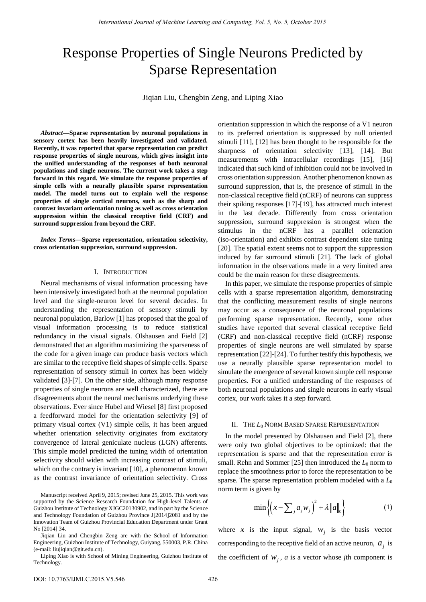# Response Properties of Single Neurons Predicted by Sparse Representation

Jiqian Liu, Chengbin Zeng, and Liping Xiao

*Abstract***—Sparse representation by neuronal populations in sensory cortex has been heavily investigated and validated. Recently, it was reported that sparse representation can predict response properties of single neurons, which gives insight into the unified understanding of the responses of both neuronal populations and single neurons. The current work takes a step forward in this regard. We simulate the response properties of simple cells with a neurally plausible sparse representation model. The model turns out to explain well the response properties of single cortical neurons, such as the sharp and contrast invariant orientation tuning as well as cross orientation suppression within the classical receptive field (CRF) and surround suppression from beyond the CRF.** 

*Index Terms***—Sparse representation, orientation selectivity, cross orientation suppression, surround suppression.** 

### I. INTRODUCTION

Neural mechanisms of visual information processing have been intensively investigated both at the neuronal population level and the single-neuron level for several decades. In understanding the representation of sensory stimuli by neuronal population, Barlow [1] has proposed that the goal of visual information processing is to reduce statistical redundancy in the visual signals. Olshausen and Field [2] demonstrated that an algorithm maximizing the sparseness of the code for a given image can produce basis vectors which are similar to the receptive field shapes of simple cells. Sparse representation of sensory stimuli in cortex has been widely validated [3]-[7]. On the other side, although many response properties of single neurons are well characterized, there are disagreements about the neural mechanisms underlying these observations. Ever since Hubel and Wiesel [8] first proposed a feedforward model for the orientation selectivity [9] of primary visual cortex (V1) simple cells, it has been argued whether orientation selectivity originates from excitatory convergence of lateral geniculate nucleus (LGN) afferents. This simple model predicted the tuning width of orientation selectivity should widen with increasing contrast of stimuli, which on the contrary is invariant [10], a phenomenon known as the contrast invariance of orientation selectivity. Cross

Liping Xiao is with School of Mining Engineering, Guizhou Institute of Technology.

orientation suppression in which the response of a V1 neuron to its preferred orientation is suppressed by null oriented stimuli [11], [12] has been thought to be responsible for the sharpness of orientation selectivity [13], [14]. But measurements with intracellular recordings [15], [16] indicated that such kind of inhibition could not be involved in cross orientation suppression. Another phenomenon known as surround suppression, that is, the presence of stimuli in the non-classical receptive field (nCRF) of neurons can suppress their spiking responses [17]-[19], has attracted much interest in the last decade. Differently from cross orientation suppression, surround suppression is strongest when the stimulus in the nCRF has a parallel orientation (iso-orientation) and exhibits contrast dependent size tuning [20]. The spatial extent seems not to support the suppression induced by far surround stimuli [21]. The lack of global information in the observations made in a very limited area could be the main reason for these disagreements.

In this paper, we simulate the response properties of simple cells with a sparse representation algorithm, demonstrating that the conflicting measurement results of single neurons may occur as a consequence of the neuronal populations performing sparse representation. Recently, some other studies have reported that several classical receptive field (CRF) and non-classical receptive field (nCRF) response properties of single neurons are well simulated by sparse representation [22]-[24]. To further testify this hypothesis, we use a neurally plausible sparse representation model to simulate the emergence of several known simple cell response properties. For a unified understanding of the responses of both neuronal populations and single neurons in early visual cortex, our work takes it a step forward.

## II. THE *L*<sup>0</sup> NORM BASED SPARSE REPRESENTATION

In the model presented by Olshausen and Field [2], there were only two global objectives to be optimized: that the representation is sparse and that the representation error is small. Rehn and Sommer  $[25]$  then introduced the  $L_0$  norm to replace the smoothness prior to force the representation to be sparse. The sparse representation problem modeled with a *L*<sup>0</sup> norm term is given by

$$
\min\left\{ \left( x - \sum_{j} a_{j} w_{j} \right)^{2} + \lambda \|a\|_{0} \right\}
$$
 (1)

where  $x$  is the input signal,  $w_j$  is the basis vector corresponding to the receptive field of an active neuron,  $a_i$  is the coefficient of  $w_j$ , *a* is a vector whose *j*th component is

Manuscript received April 9, 2015; revised June 25, 2015. This work was supported by the Science Research Foundation for High-level Talents of Guizhou Institute of Technology XJGC20130902, and in part by the Science and Technology Foundation of Guizhou Province J[2014]2081 and by the Innovation Team of Guizhou Provincial Education Department under Grant No [2014] 34.

Jiqian Liu and Chengbin Zeng are with the School of Information Engineering, Guizhou Institute of Technology, Guiyang, 550003, P.R. China (e-mail: liujiqian@git.edu.cn).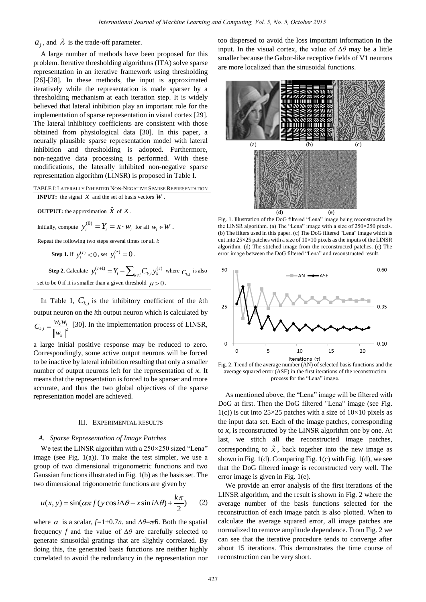# $a_j$ , and  $\lambda$  is the trade-off parameter.

A large number of methods have been proposed for this problem. Iterative thresholding algorithms (ITA) solve sparse representation in an iterative framework using thresholding [26]-[28]. In these methods, the input is approximated iteratively while the representation is made sparser by a thresholding mechanism at each iteration step. It is widely believed that lateral inhibition play an important role for the implementation of sparse representation in visual cortex [29]. The lateral inhibitory coefficients are consistent with those obtained from physiological data [30]. In this paper, a neurally plausible sparse representation model with lateral inhibition and thresholding is adopted. Furthermore, non-negative data processing is performed. With these modifications, the laterally inhibited non-negative sparse representation algorithm (LINSR) is proposed in Table I.

# TABLE I: LATERALLY INHIBITED NON-NEGATIVE SPARSE REPRESENTATION **INPUT:** the signal  $\bar{x}$  and the set of basis vectors  $\bar{W}$ .

**OUTPUT:** the approximation  $\hat{x}$  of  $x$ .

Initially, compute  $y_i^{(0)} = Y_i = x \cdot w_i$  for all  $w_i \in W$ .

Repeat the following two steps several times for all *i*:

**Step 1.** If 
$$
y_i^{(\tau)} < 0
$$
, set  $y_i^{(\tau)} = 0$ .

**Step 2.** Calculate  $y_i^{(\tau+1)} = Y_i - \sum_{k \neq i} C_{k,i} y_k^{(\tau)}$  where  $C_{k,i}$  is also set to be 0 if it is smaller than a given threshold  $\mu > 0$ .

In Table I,  $C_{k,i}$  is the inhibitory coefficient of the  $k$ th output neuron on the *i*th output neuron which is calculated by  $k_{i,i} = \frac{W_k W_i}{\ln |I|^2}$ *k*  $C_{k,i} = \frac{W_k W_i}{W_k}$ *w*  $=\frac{W_k W_i}{W_k}$  [30]. In the implementation process of LINSR,

a large initial positive response may be reduced to zero. Correspondingly, some active output neurons will be forced to be inactive by lateral inhibition resulting that only a smaller number of output neurons left for the representation of *x*. It means that the representation is forced to be sparser and more accurate, and thus the two global objectives of the sparse representation model are achieved.

#### III. EXPERIMENTAL RESULTS

#### *A. Sparse Representation of Image Patches*

We test the LINSR algorithm with a 250×250 sized "Lena" image (see Fig.  $1(a)$ ). To make the test simpler, we use a group of two dimensional trigonometric functions and two Gaussian functions illustrated in Fig. 1(b) as the basis set. The

two dimensional trigonometric functions are given by  

$$
u(x, y) = \sin(\alpha \pi f(y \cos i\Delta \theta - x \sin i\Delta \theta) + \frac{k\pi}{2})
$$
(2)

where  $\alpha$  is a scalar,  $f=1+0.7n$ , and  $\Delta\theta=\pi/6$ . Both the spatial frequency *f* and the value of ∆*θ* are carefully selected to generate sinusoidal gratings that are slightly correlated. By doing this, the generated basis functions are neither highly correlated to avoid the redundancy in the representation nor

too dispersed to avoid the loss important information in the input. In the visual cortex, the value of ∆*θ* may be a little smaller because the Gabor-like receptive fields of V1 neurons are more localized than the sinusoidal functions.



Fig. 1. Illustration of the DoG filtered "Lena" image being reconstructed by the LINSR algorithm. (a) The "Lena" image with a size of 250×250 pixels. (b) The filters used in this paper. (c) The DoG filtered "Lena" image which is cut into  $25\times25$  patches with a size of  $10\times10$  pixels as the inputs of the LINSR algorithm. (d) The stitched image from the reconstructed patches. (e) The error image between the DoG filtered "Lena" and reconstructed result.



Fig. 2. Trend of the average number (AN) of selected basis functions and the average squared error (ASE) in the first iterations of the reconstruction process for the "Lena" image.

As mentioned above, the "Lena" image will be filtered with DoG at first. Then the DoG filtered "Lena" image (see Fig. 1(c)) is cut into  $25 \times 25$  patches with a size of  $10 \times 10$  pixels as the input data set. Each of the image patches, corresponding to *x*, is reconstructed by the LINSR algorithm one by one. At last, we stitch all the reconstructed image patches, corresponding to  $\hat{x}$ , back together into the new image as shown in Fig.  $1(d)$ . Comparing Fig.  $1(c)$  with Fig.  $1(d)$ , we see that the DoG filtered image is reconstructed very well. The error image is given in Fig. 1(e).

We provide an error analysis of the first iterations of the LINSR algorithm, and the result is shown in Fig. 2 where the average number of the basis functions selected for the reconstruction of each image patch is also plotted. When to calculate the average squared error, all image patches are normalized to remove amplitude dependence. From Fig. 2 we can see that the iterative procedure tends to converge after about 15 iterations. This demonstrates the time course of reconstruction can be very short.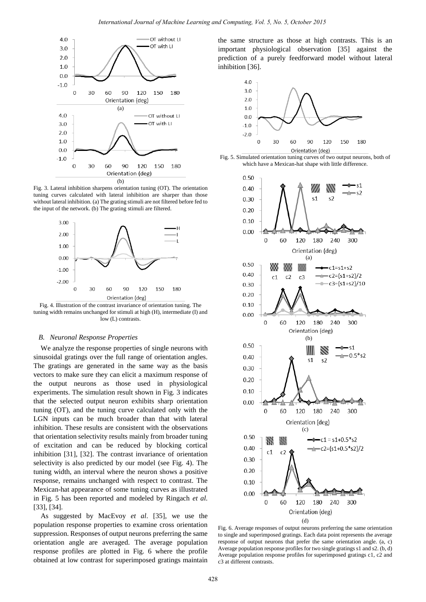

Fig. 3. Lateral inhibition sharpens orientation tuning (OT). The orientation tuning curves calculated with lateral inhibition are sharper than those without lateral inhibition. (a) The grating stimuli are not filtered before fed to the input of the network. (b) The grating stimuli are filtered.



Fig. 4. Illustration of the contrast invariance of orientation tuning. The tuning width remains unchanged for stimuli at high (H), intermediate (I) and low (L) contrasts.

#### *B. Neuronal Response Properties*

We analyze the response properties of single neurons with sinusoidal gratings over the full range of orientation angles. The gratings are generated in the same way as the basis vectors to make sure they can elicit a maximum response of the output neurons as those used in physiological experiments. The simulation result shown in Fig. 3 indicates that the selected output neuron exhibits sharp orientation tuning (OT), and the tuning curve calculated only with the LGN inputs can be much broader than that with lateral inhibition. These results are consistent with the observations that orientation selectivity results mainly from broader tuning of excitation and can be reduced by blocking cortical inhibition [31], [32]. The contrast invariance of orientation selectivity is also predicted by our model (see Fig. 4). The tuning width, an interval where the neuron shows a positive response, remains unchanged with respect to contrast. The Mexican-hat appearance of some tuning curves as illustrated in Fig. 5 has been reported and modeled by Ringach *et al.* [33], [34].

As suggested by MacEvoy *et al*. [35], we use the population response properties to examine cross orientation suppression. Responses of output neurons preferring the same orientation angle are averaged. The average population response profiles are plotted in Fig. 6 where the profile obtained at low contrast for superimposed gratings maintain

the same structure as those at high contrasts. This is an important physiological observation [35] against the prediction of a purely feedforward model without lateral inhibition [36].



Fig. 5. Simulated orientation tuning curves of two output neurons, both of which have a Mexican-hat shape with little difference.



Fig. 6. Average responses of output neurons preferring the same orientation to single and superimposed gratings. Each data point represents the average response of output neurons that prefer the same orientation angle. (a, c) Average population response profiles for two single gratings s1 and s2. (b, d) Average population response profiles for superimposed gratings c1, c2 and c3 at different contrasts.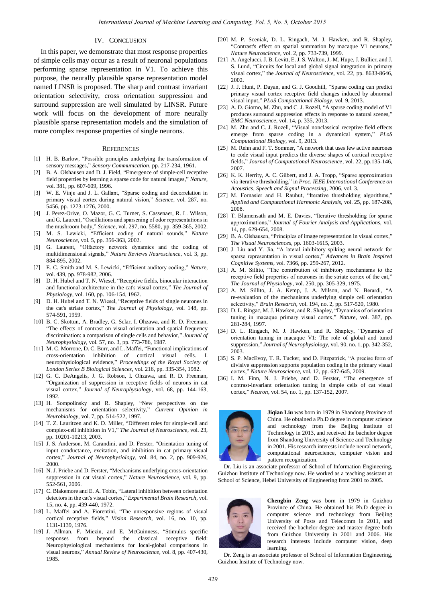# IV. CONCLUSION

In this paper, we demonstrate that most response properties of simple cells may occur as a result of neuronal populations performing sparse representation in V1. To achieve this purpose, the neurally plausible sparse representation model named LINSR is proposed. The sharp and contrast invariant orientation selectivity, cross orientation suppression and surround suppression are well simulated by LINSR. Future work will focus on the development of more neurally plausible sparse representation models and the simulation of more complex response properties of single neurons.

#### **REFERENCES**

- [1] H. B. Barlow, "Possible principles underlying the transformation of sensory messages," *Sensory Communication,* pp. 217-234, 1961.
- B. A. Olshausen and D. J. Field, "Emergence of simple-cell receptive field properties by learning a sparse code for natural images," *Nature,* vol. 381, pp. 607-609, 1996.
- [3] W. E. Vinje and J. L. Gallant, "Sparse coding and decorrelation in primary visual cortex during natural vision," *Science,* vol. 287, no. 5456, pp. 1273-1276, 2000.
- [4] J. Perez-Orive, O. Mazor, G. C. Turner, S. Cassenaer, R. L. Wilson, and G. Laurent, "Oscillations and sparsening of odor representations in the mushroom body," *Science,* vol. 297, no. 5580, pp. 359-365, 2002.
- [5] M. S. Lewicki, "Efficient coding of natural sounds," *Nature Neuroscience*, vol. 5, pp. 356-363, 2002.
- [6] G. Laurent, "Olfactory network dynamics and the coding of multidimensional signals," *Nature Reviews Neuroscience,* vol. 3, pp. 884-895, 2002.
- [7] E. C. Smith and M. S. Lewicki, "Efficient auditory coding," *Natur*e, vol. 439, pp. 978-982, 2006.
- [8] D. H. Hubel and T. N. Wiesel, "Receptive fields, binocular interaction and functional architecture in the cat's visual cortex," *The Journal of Physiology*, vol. 160, pp. 106-154, 1962.
- [9] D. H. Hubel and T. N. Wiesel, "Receptive fields of single neurones in the cat's striate cortex," *The Journal of Physiology*, vol. 148, pp. 574-591, 1959.
- [10] B. C. Skottun, A. Bradley, G. Sclar, I. Ohzawa, and R. D. Freeman, "The effects of contrast on visual orientation and spatial frequency discrimination: a comparison of single cells and behavior," *Journal of Neurophysiology,* vol. 57, no. 3, pp. 773-786, 1987.
- [11] M. C. Morrone, D. C. Burr, and L. Maffei, "Functional implications of cross-orientation inhibition of cortical visual cells. I. neurophysiological evidence," *Proceedings of the Royal Society of London Series B Biological Sciences,* vol. 216, pp. 335-354, 1982.
- [12] G. C. DeAngelis, J. G. Robson, I. Ohzawa, and R. D. Freeman, "Organization of suppression in receptive fields of neurons in cat visual cortex," *Journal of Neurophysiology,* vol. 68, pp. 144-163, 1992.
- [13] H. Sompolinsky and R. Shapley, "New perspectives on the mechanisms for orientation selectivity," *Current Opinion in Neurobiology*, vol. 7, pp. 514-522, 1997.
- [14] T. Z. Lauritzen and K. D. Miller, "Different roles for simple-cell and complex-cell inhibition in V1," *The Journal of Neuroscience,* vol. 23, pp. 10201-10213, 2003.
- [15] J. S. Anderson, M. Carandini, and D. Ferster, "Orientation tuning of input conductance, excitation, and inhibition in cat primary visual cortex," *Journal of Neurophysiology,* vol. 84, no. 2, pp. 909-926, 2000.
- [16] N. J. Priebe and D. Ferster, "Mechanisms underlying cross-orientation suppression in cat visual cortex," *Nature Neuroscience,* vol. 9, pp. 552-561, 2006.
- [17] C. Blakemore and E. A. Tobin, "Lateral inhibition between orientation detectors in the cat's visual cortex," *Experimental Brain Research,* vol. 15, no. 4, pp. 439-440, 1972.
- [18] L. Maffei and A. Fiorentini, "The unresponsive regions of visual cortical receptive fields," *Vision Research,* vol. 16, no. 10, pp. 1131-1139, 1976.
- [19] J. Allman, F. Miezin, and E. McGuinness, "Stimulus specific responses from beyond the classical receptive field: Neurophysiological mechanisms for local-global comparisons in visual neurons," *Annual Review of Neuroscience,* vol. 8, pp. 407-430, 1985.
- [20] M. P. Sceniak, D. L. Ringach, M. J. Hawken, and R. Shapley, "Contrast's effect on spatial summation by macaque V1 neurons," *Nature Neuroscience,* vol. 2, pp. 733-739, 1999.
- [21] A. Angelucci, J. B. Levitt, E. J. S. Walton, J.-M. Hupe, J. Bullier, and J. S. Lund, "Circuits for local and global signal integration in primary visual cortex," the *Journal of Neuroscience,* vol. 22, pp. 8633-8646, 2002.
- [22] J. J. Hunt, P. Dayan, and G. J. Goodhill, "Sparse coding can predict primary visual cortex receptive field changes induced by abnormal visual input," *PLoS Computational Biology,* vol. 9, 2013.
- [23] A. D. Giorno, M. Zhu, and C. J. Rozell, "A sparse coding model of V1 produces surround suppression effects in response to natural scenes," *BMC Neuroscience*, vol. 14, p. 335, 2013.
- [24] M. Zhu and C. J. Rozell, "Visual nonclassical receptive field effects emerge from sparse coding in a dynamical system," *PLoS Computational Biology*, vol. 9, 2013.
- [25] M. Rehn and F. T. Sommer, "A network that uses few active neurones to code visual input predicts the diverse shapes of cortical receptive fields," *Journal of Computational Neuroscience,* vol. 22, pp.135-146, 2007.
- [26] K. K. Herrity, A. C. Gilbert, and J. A. Tropp, "Sparse approximation via iterative thresholding," in *Proc. IEEE International Conference on Acoustics, Speech and Signal Processing*, 2006, vol. 3.
- [27] M. Fornasier and H. Rauhut, "Iterative thresholding algorithms," *Applied and Computational Harmonic Analysis,* vol. 25, pp. 187-208, 2008.
- [28] T. Blumensath and M. E. Davies, "Iterative thresholding for sparse approximations," *Journal of Fourier Analysis and Applications,* vol. 14, pp. 629-654, 2008.
- [29] B. A. Olshausen, "Principles of image representation in visual cortex," *The Visual Neurosciences*, pp. 1603-1615, 2003.
- [30] J. Liu and Y. Jia, "A lateral inhibitory spiking neural network for sparse representation in visual cortex," *Advances in Brain Inspired Cognitive Systems*, vol. 7366, pp. 259-267, 2012.
- [31] A. M. Sillito, "The contribution of inhibitory mechanisms to the receptive field properties of neurones in the striate cortex of the cat," *The Journal of Physiology*, vol. 250, pp. 305-329, 1975.
- [32] A. M. Sillito, J. A. Kemp, J. A. Milson, and N. Berardi, "A re-evaluation of the mechanisms underlying simple cell orientation selectivity," *Brain Research*, vol. 194, no. 2, pp. 517-520, 1980.
- [33] D. L. Ringac, M. J. Hawken, and R. Shapley, "Dynamics of orientation tuning in macaque primary visual cortex," *Nature*, vol. 387, pp. 281-284, 1997.
- [34] D. L. Ringach, M. J. Hawken, and R. Shapley, "Dynamics of orientation tuning in macaque V1: The role of global and tuned suppression," *Journal of Neurophysiology*, vol. 90, no. 1, pp. 342-352, 2003.
- [35] S. P. MacEvoy, T. R. Tucker, and D. Fitzpatrick, "A precise form of divisive suppression supports population coding in the primary visual cortex," *Nature Neuroscience*, vol. 12, pp. 637-645, 2009.
- [36] I. M. Finn, N. J. Priebe, and D. Ferster, "The emergence of contrast-invariant orientation tuning in simple cells of cat visual cortex," *Neuron*, vol. 54, no. 1, pp. 137-152, 2007.



**Jiqian Liu** was born in 1979 in Shandong Province of China. He obtained a Ph.D degree in computer science and technology from the Beijing Institute of Technology in 2013, and received the bachelor degree from Shandong University of Science and Technology in 2001. His research interests include neural network, computational neuroscience, computer vision and pattern recognization.

 Dr. Liu is an associate professor of School of Information Engineering, Guizhou Institute of Technology now. He worked as a teaching assistant at School of Science, Hebei University of Engineering from 2001 to 2005.



**Chengbin Zeng** was born in 1979 in Guizhou Province of China. He obtained his Ph.D degree in computer science and technology from Beijing University of Posts and Telecomm in 2011, and received the bachelor degree and master degree both from Guizhou University in 2001 and 2006. His research interests include computer vision, deep learning.

 Dr. Zeng is an associate professor of School of Information Engineering, Guizhou Insitute of Technology now.